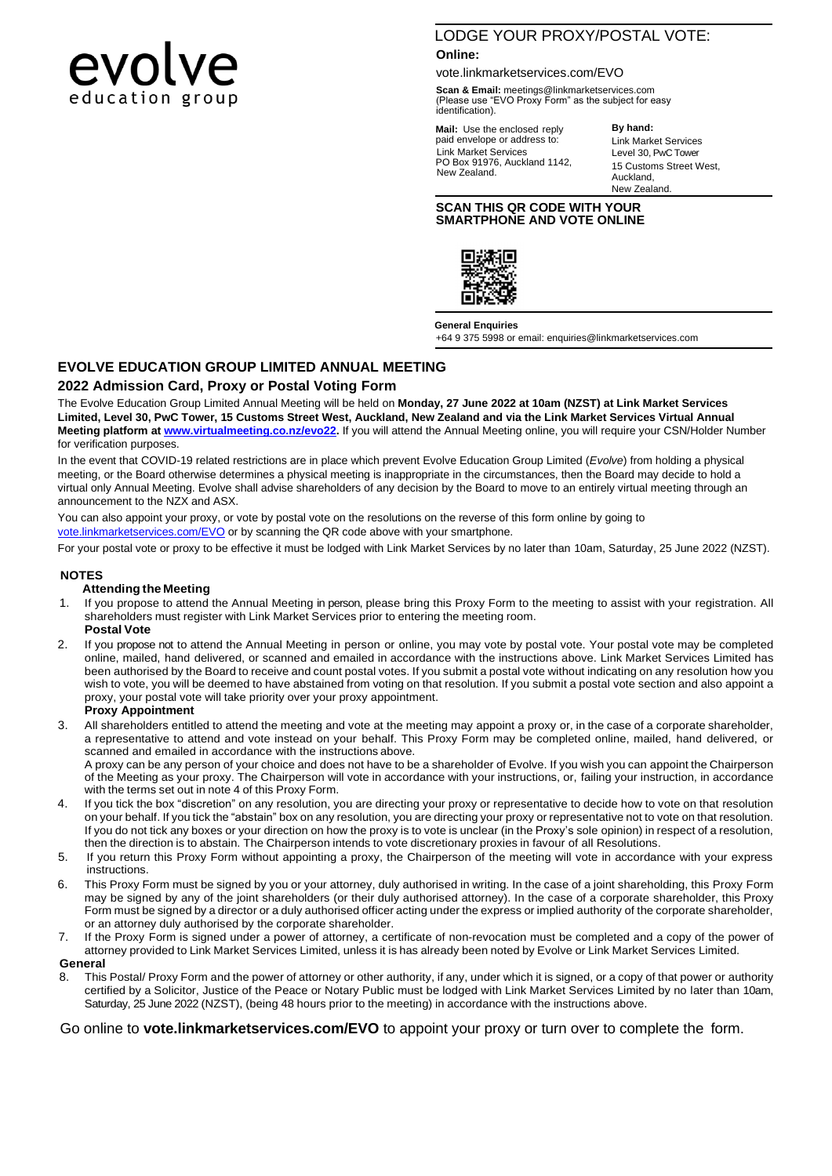

# LODGE YOUR PROXY/POSTAL VOTE:

#### **Online:**

vote.linkmarketservices.com/EVO

**Scan & Email:** [meetings@linkmarketservices.com](mailto:meetings@linkmarketservices.com) (Please use "EVO Proxy Form" as the subject for easy identification).

**Mail:** Use the enclosed reply paid envelope or address to: Link Market Services PO Box 91976, Auckland 1142, New Zealand.

**By hand:** Link Market Services Level 30, PwC Tower 15 Customs Street West, Auckland, New Zealand.

#### **SCAN THIS QR CODE WITH YOUR SMARTPHONE AND VOTE ONLINE**



**General Enquiries** [+64 9 375 5998 or email: enquiries@linkmarketservices.com](mailto:enquiries@linkmarketservices.com)

# **EVOLVE EDUCATION GROUP LIMITED ANNUAL MEETING**

## **2022 Admission Card, Proxy or Postal Voting Form**

The Evolve Education Group Limited Annual Meeting will be held on **Monday, 27 June 2022 at 10am (NZST) at Link Market Services Limited, Level 30, PwC Tower, 15 Customs Street West, Auckland, New Zealand and via the Link Market Services Virtual Annual Meeting platform a[t www.virtualmeeting.co.nz/evo22.](http://www.virtualmeeting.co.nz/evo22)** If you will attend the Annual Meeting online, you will require your CSN/Holder Number for verification purposes.

In the event that COVID-19 related restrictions are in place which prevent Evolve Education Group Limited (*Evolve*) from holding a physical meeting, or the Board otherwise determines a physical meeting is inappropriate in the circumstances, then the Board may decide to hold a virtual only Annual Meeting. Evolve shall advise shareholders of any decision by the Board to move to an entirely virtual meeting through an announcement to the NZX and ASX.

You can also appoint your proxy, or vote by postal vote on the resolutions on the reverse of this form online by going to [vote.linkmarketservices.com/EVO](file://///Auck-2012-fs1.apac.linkgroup.corp/business/Issuers/0%20ALL%20CURRENT%20CLIENT%20AND%20ISSUER%20FOLDERS/EVOLVE/Annual%20Meeting/2021/vote.linkmarketservices.com/EVO) or by scanning the QR code above with your smartphone.

For your postal vote or proxy to be effective it must be lodged with Link Market Services by no later than 10am, Saturday, 25 June 2022 (NZST).

#### **NOTES**

#### **Attending the Meeting**

- If you propose to attend the Annual Meeting in person, please bring this Proxy Form to the meeting to assist with your registration. All shareholders must register with Link Market Services prior to entering the meeting room. **Postal Vote**
- 2. If you propose not to attend the Annual Meeting in person or online, you may vote by postal vote. Your postal vote may be completed online, mailed, hand delivered, or scanned and emailed in accordance with the instructions above. Link Market Services Limited has been authorised by the Board to receive and count postal votes. If you submit a postal vote without indicating on any resolution how you wish to vote, you will be deemed to have abstained from voting on that resolution. If you submit a postal vote section and also appoint a proxy, your postal vote will take priority over your proxy appointment.

#### **Proxy Appointment**

3. All shareholders entitled to attend the meeting and vote at the meeting may appoint a proxy or, in the case of a corporate shareholder, a representative to attend and vote instead on your behalf. This Proxy Form may be completed online, mailed, hand delivered, or scanned and emailed in accordance with the instructions above. A proxy can be any person of your choice and does not have to be a shareholder of Evolve. If you wish you can appoint the Chairperson

of the Meeting as your proxy. The Chairperson will vote in accordance with your instructions, or, failing your instruction, in accordance with the terms set out in note 4 of this Proxy Form.

- 4. If you tick the box "discretion" on any resolution, you are directing your proxy or representative to decide how to vote on that resolution on your behalf. If you tick the "abstain" box on any resolution, you are directing your proxy or representative not to vote on that resolution. If you do not tick any boxes or your direction on how the proxy is to vote is unclear (in the Proxy's sole opinion) in respect of a resolution, then the direction is to abstain. The Chairperson intends to vote discretionary proxies in favour of all Resolutions.
- 5. If you return this Proxy Form without appointing a proxy, the Chairperson of the meeting will vote in accordance with your express instructions.
- 6. This Proxy Form must be signed by you or your attorney, duly authorised in writing. In the case of a joint shareholding, this Proxy Form may be signed by any of the joint shareholders (or their duly authorised attorney). In the case of a corporate shareholder, this Proxy Form must be signed by a director or a duly authorised officer acting under the express or implied authority of the corporate shareholder, or an attorney duly authorised by the corporate shareholder.
- 7. If the Proxy Form is signed under a power of attorney, a certificate of non-revocation must be completed and a copy of the power of attorney provided to Link Market Services Limited, unless it is has already been noted by Evolve or Link Market Services Limited.

#### **General**

8. This Postal/ Proxy Form and the power of attorney or other authority, if any, under which it is signed, or a copy of that power or authority certified by a Solicitor, Justice of the Peace or Notary Public must be lodged with Link Market Services Limited by no later than 10am, Saturday, 25 June 2022 (NZST), (being 48 hours prior to the meeting) in accordance with the instructions above.

Go online to **vote.linkmarketservices.com/EVO** to appoint your proxy or turn over to complete the form.